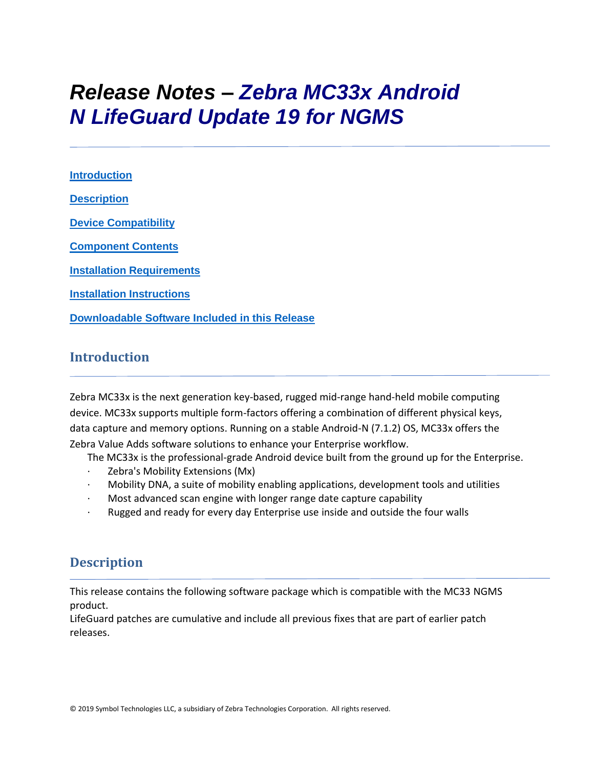# *Release Notes – Zebra MC33x Android N LifeGuard Update 19 for NGMS*

**[Introduction](#page-0-0) [Description](#page-0-1) [Device Compatibility](#page-14-0) [Component Contents](#page-1-0) [Installation Requirements](#page-16-0) [Installation Instructions](#page-16-1) [Downloadable Software Included in this Release](#page-19-0)**

# <span id="page-0-0"></span>**Introduction**

Zebra MC33x is the next generation key-based, rugged mid-range hand-held mobile computing device. MC33x supports multiple form-factors offering a combination of different physical keys, data capture and memory options. Running on a stable Android-N (7.1.2) OS, MC33x offers the Zebra Value Adds software solutions to enhance your Enterprise workflow.

The MC33x is the professional-grade Android device built from the ground up for the Enterprise.

- Zebra's Mobility Extensions (Mx)
- · Mobility DNA, a suite of mobility enabling applications, development tools and utilities
- · Most advanced scan engine with longer range date capture capability
- Rugged and ready for every day Enterprise use inside and outside the four walls

# <span id="page-0-1"></span>**Description**

This release contains the following software package which is compatible with the MC33 NGMS product.

LifeGuard patches are cumulative and include all previous fixes that are part of earlier patch releases.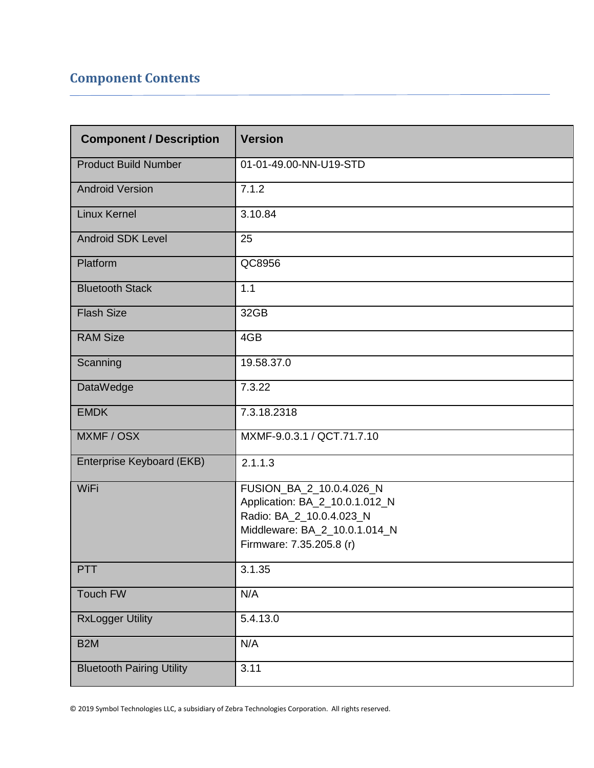# <span id="page-1-0"></span>**Component Contents**

| <b>Component / Description</b>   | <b>Version</b>                                                                                                                                      |
|----------------------------------|-----------------------------------------------------------------------------------------------------------------------------------------------------|
| <b>Product Build Number</b>      | 01-01-49.00-NN-U19-STD                                                                                                                              |
| <b>Android Version</b>           | 7.1.2                                                                                                                                               |
| <b>Linux Kernel</b>              | 3.10.84                                                                                                                                             |
| <b>Android SDK Level</b>         | 25                                                                                                                                                  |
| Platform                         | QC8956                                                                                                                                              |
| <b>Bluetooth Stack</b>           | 1.1                                                                                                                                                 |
| <b>Flash Size</b>                | 32GB                                                                                                                                                |
| <b>RAM Size</b>                  | 4GB                                                                                                                                                 |
| Scanning                         | 19.58.37.0                                                                                                                                          |
| DataWedge                        | 7.3.22                                                                                                                                              |
| <b>EMDK</b>                      | 7.3.18.2318                                                                                                                                         |
| MXMF / OSX                       | MXMF-9.0.3.1 / QCT.71.7.10                                                                                                                          |
| Enterprise Keyboard (EKB)        | 2.1.1.3                                                                                                                                             |
| WiFi                             | FUSION_BA_2_10.0.4.026_N<br>Application: BA_2_10.0.1.012_N<br>Radio: BA_2_10.0.4.023_N<br>Middleware: BA_2_10.0.1.014_N<br>Firmware: 7.35.205.8 (r) |
| PTT                              | 3.1.35                                                                                                                                              |
| Touch FW                         | N/A                                                                                                                                                 |
| <b>RxLogger Utility</b>          | 5.4.13.0                                                                                                                                            |
| B <sub>2</sub> M                 | N/A                                                                                                                                                 |
| <b>Bluetooth Pairing Utility</b> | 3.11                                                                                                                                                |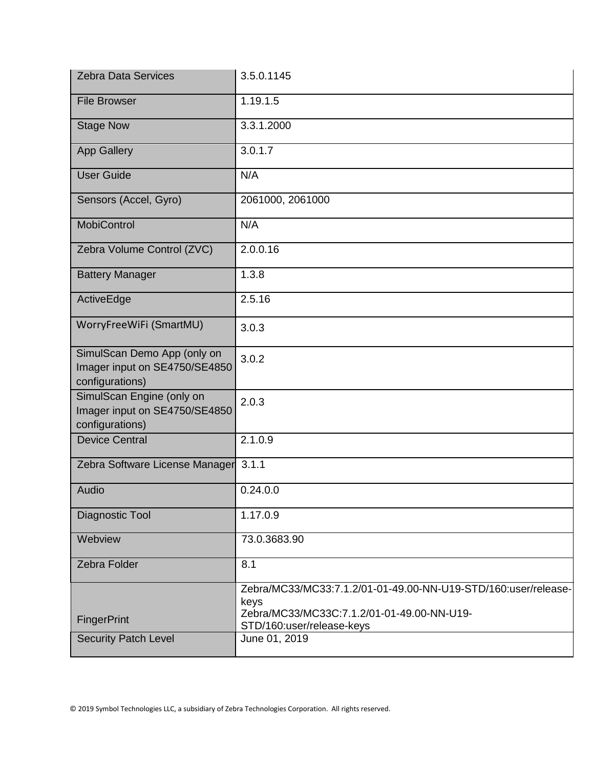| <b>Zebra Data Services</b>                                                      | 3.5.0.1145                                                                                                                                        |
|---------------------------------------------------------------------------------|---------------------------------------------------------------------------------------------------------------------------------------------------|
| <b>File Browser</b>                                                             | 1.19.1.5                                                                                                                                          |
| <b>Stage Now</b>                                                                | 3.3.1.2000                                                                                                                                        |
| <b>App Gallery</b>                                                              | 3.0.1.7                                                                                                                                           |
| <b>User Guide</b>                                                               | N/A                                                                                                                                               |
| Sensors (Accel, Gyro)                                                           | 2061000, 2061000                                                                                                                                  |
| <b>MobiControl</b>                                                              | N/A                                                                                                                                               |
| Zebra Volume Control (ZVC)                                                      | 2.0.0.16                                                                                                                                          |
| <b>Battery Manager</b>                                                          | 1.3.8                                                                                                                                             |
| ActiveEdge                                                                      | 2.5.16                                                                                                                                            |
| WorryFreeWiFi (SmartMU)                                                         | 3.0.3                                                                                                                                             |
| SimulScan Demo App (only on<br>Imager input on SE4750/SE4850<br>configurations) | 3.0.2                                                                                                                                             |
| SimulScan Engine (only on<br>Imager input on SE4750/SE4850<br>configurations)   | 2.0.3                                                                                                                                             |
| <b>Device Central</b>                                                           | 2.1.0.9                                                                                                                                           |
| Zebra Software License Manager 3.1.1                                            |                                                                                                                                                   |
| Audio                                                                           | 0.24.0.0                                                                                                                                          |
| Diagnostic Tool                                                                 | 1.17.0.9                                                                                                                                          |
| Webview                                                                         | 73.0.3683.90                                                                                                                                      |
| Zebra Folder                                                                    | 8.1                                                                                                                                               |
| FingerPrint                                                                     | Zebra/MC33/MC33:7.1.2/01-01-49.00-NN-U19-STD/160:user/release-<br>keys<br>Zebra/MC33/MC33C:7.1.2/01-01-49.00-NN-U19-<br>STD/160:user/release-keys |
| <b>Security Patch Level</b>                                                     | June 01, 2019                                                                                                                                     |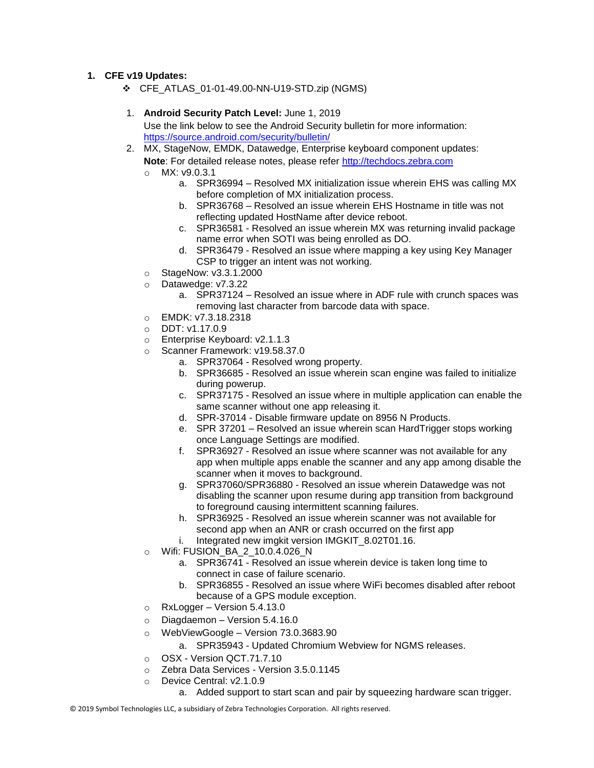#### **1. CFE v19 Updates:**

❖ CFE\_ATLAS\_01-01-49.00-NN-U19-STD.zip (NGMS)

#### 1. **Android Security Patch Level:** June 1, 2019 Use the link below to see the Android Security bulletin for more information: <https://source.android.com/security/bulletin/>

- 2. MX, StageNow, EMDK, Datawedge, Enterprise keyboard component updates: **Note**: For detailed release notes, please refer [http://techdocs.zebra.com](http://techdocs.zebra.com/)
	- o MX: v9.0.3.1
		- a. SPR36994 Resolved MX initialization issue wherein EHS was calling MX before completion of MX initialization process.
		- b. SPR36768 Resolved an issue wherein EHS Hostname in title was not reflecting updated HostName after device reboot.
		- c. SPR36581 Resolved an issue wherein MX was returning invalid package name error when SOTI was being enrolled as DO.
		- d. SPR36479 Resolved an issue where mapping a key using Key Manager CSP to trigger an intent was not working.
	- o StageNow: v3.3.1.2000
	- o Datawedge: v7.3.22
		- a. SPR37124 Resolved an issue where in ADF rule with crunch spaces was removing last character from barcode data with space.
	- o EMDK: v7.3.18.2318
	- o DDT: v1.17.0.9
	- o Enterprise Keyboard: v2.1.1.3
	- o Scanner Framework: v19.58.37.0
		- a. SPR37064 Resolved wrong property.
		- b. SPR36685 Resolved an issue wherein scan engine was failed to initialize during powerup.
		- c. SPR37175 Resolved an issue where in multiple application can enable the same scanner without one app releasing it.
		- d. SPR-37014 Disable firmware update on 8956 N Products.
		- e. SPR 37201 Resolved an issue wherein scan HardTrigger stops working once Language Settings are modified.
		- f. SPR36927 Resolved an issue where scanner was not available for any app when multiple apps enable the scanner and any app among disable the scanner when it moves to background.
		- g. SPR37060/SPR36880 Resolved an issue wherein Datawedge was not disabling the scanner upon resume during app transition from background to foreground causing intermittent scanning failures.
		- h. SPR36925 Resolved an issue wherein scanner was not available for second app when an ANR or crash occurred on the first app
		- i. Integrated new imgkit version IMGKIT\_8.02T01.16.
	- o Wifi: FUSION\_BA\_2\_10.0.4.026\_N
		- a. SPR36741 Resolved an issue wherein device is taken long time to connect in case of failure scenario.
		- b. SPR36855 Resolved an issue where WiFi becomes disabled after reboot because of a GPS module exception.
	- o RxLogger Version 5.4.13.0
	- $\circ$  Diagdaemon Version 5.4.16.0
	- o WebViewGoogle Version 73.0.3683.90
		- a. SPR35943 Updated Chromium Webview for NGMS releases.
	- o OSX Version QCT.71.7.10
	- o Zebra Data Services Version 3.5.0.1145
	- o Device Central: v2.1.0.9
		- a. Added support to start scan and pair by squeezing hardware scan trigger.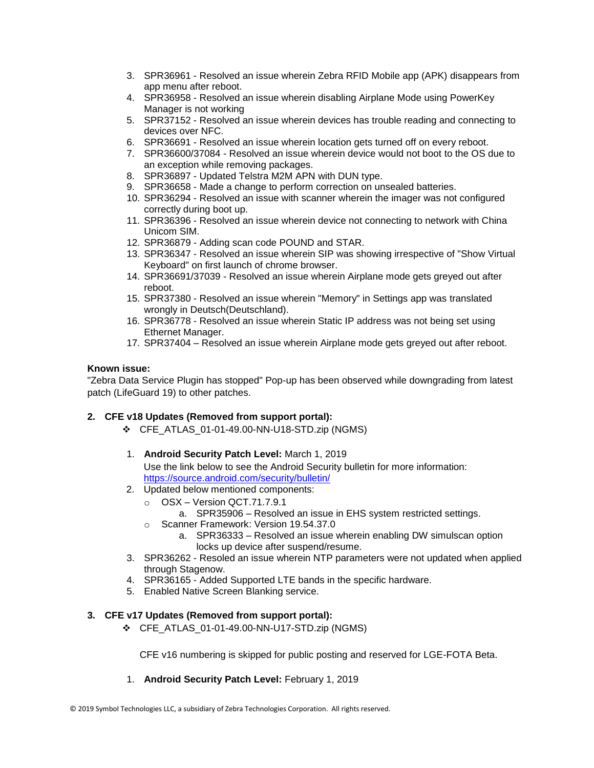- 3. SPR36961 Resolved an issue wherein Zebra RFID Mobile app (APK) disappears from app menu after reboot.
- 4. SPR36958 Resolved an issue wherein disabling Airplane Mode using PowerKey Manager is not working
- 5. SPR37152 Resolved an issue wherein devices has trouble reading and connecting to devices over NFC.
- 6. SPR36691 Resolved an issue wherein location gets turned off on every reboot.
- 7. SPR36600/37084 Resolved an issue wherein device would not boot to the OS due to an exception while removing packages.
- 8. SPR36897 Updated Telstra M2M APN with DUN type.
- 9. SPR36658 Made a change to perform correction on unsealed batteries.
- 10. SPR36294 Resolved an issue with scanner wherein the imager was not configured correctly during boot up.
- 11. SPR36396 Resolved an issue wherein device not connecting to network with China Unicom SIM.
- 12. SPR36879 Adding scan code POUND and STAR.
- 13. SPR36347 Resolved an issue wherein SIP was showing irrespective of "Show Virtual Keyboard" on first launch of chrome browser.
- 14. SPR36691/37039 Resolved an issue wherein Airplane mode gets greyed out after reboot.
- 15. SPR37380 Resolved an issue wherein "Memory" in Settings app was translated wrongly in Deutsch(Deutschland).
- 16. SPR36778 Resolved an issue wherein Static IP address was not being set using Ethernet Manager.
- 17. SPR37404 Resolved an issue wherein Airplane mode gets greyed out after reboot.

#### **Known issue:**

"Zebra Data Service Plugin has stopped" Pop-up has been observed while downgrading from latest patch (LifeGuard 19) to other patches.

#### **2. CFE v18 Updates (Removed from support portal):**

- ❖ CFE\_ATLAS\_01-01-49.00-NN-U18-STD.zip (NGMS)
- 1. **Android Security Patch Level:** March 1, 2019 Use the link below to see the Android Security bulletin for more information: <https://source.android.com/security/bulletin/>
- 2. Updated below mentioned components:
	- o OSX Version QCT.71.7.9.1

a. SPR35906 – Resolved an issue in EHS system restricted settings.

- o Scanner Framework: Version 19.54.37.0
	- a. SPR36333 Resolved an issue wherein enabling DW simulscan option locks up device after suspend/resume.
- 3. SPR36262 Resoled an issue wherein NTP parameters were not updated when applied through Stagenow.
- 4. SPR36165 Added Supported LTE bands in the specific hardware.
- 5. Enabled Native Screen Blanking service.

#### **3. CFE v17 Updates (Removed from support portal):**

❖ CFE\_ATLAS\_01-01-49.00-NN-U17-STD.zip (NGMS)

CFE v16 numbering is skipped for public posting and reserved for LGE-FOTA Beta.

1. **Android Security Patch Level:** February 1, 2019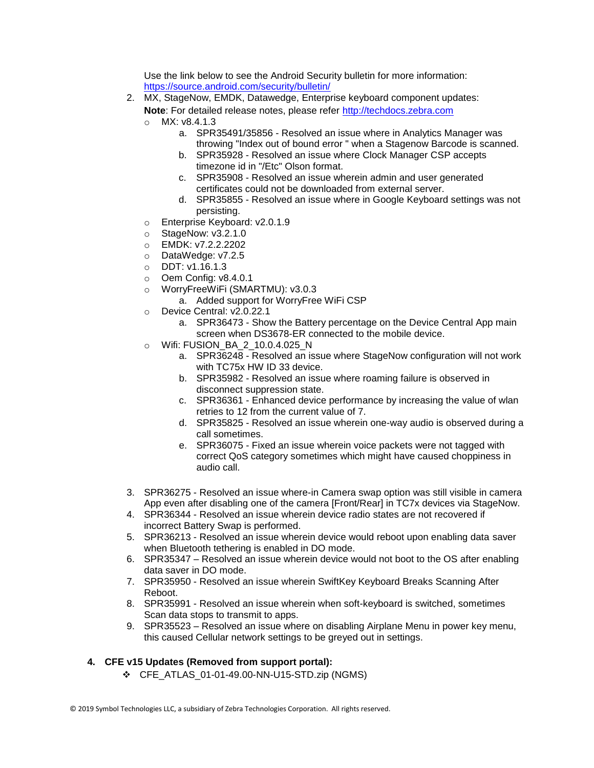Use the link below to see the Android Security bulletin for more information: <https://source.android.com/security/bulletin/>

- 2. MX, StageNow, EMDK, Datawedge, Enterprise keyboard component updates:
	- Note: For detailed release notes, please refer [http://techdocs.zebra.com](http://techdocs.zebra.com/)
	- o MX: v8.4.1.3
		- a. SPR35491/35856 Resolved an issue where in Analytics Manager was throwing "Index out of bound error " when a Stagenow Barcode is scanned.
		- b. SPR35928 Resolved an issue where Clock Manager CSP accepts timezone id in "/Etc" Olson format.
		- c. SPR35908 Resolved an issue wherein admin and user generated certificates could not be downloaded from external server.
		- d. SPR35855 Resolved an issue where in Google Keyboard settings was not persisting.
	- o Enterprise Keyboard: v2.0.1.9
	- $\circ$  StageNow: v3.2.1.0
	- o EMDK: v7.2.2.2202
	- o DataWedge: v7.2.5
	- o DDT: v1.16.1.3
	- o Oem Config: v8.4.0.1
	- o WorryFreeWiFi (SMARTMU): v3.0.3
		- a. Added support for WorryFree WiFi CSP
	- o Device Central: v2.0.22.1
		- a. SPR36473 Show the Battery percentage on the Device Central App main screen when DS3678-ER connected to the mobile device.
	- o Wifi: FUSION\_BA\_2\_10.0.4.025\_N
		- a. SPR36248 Resolved an issue where StageNow configuration will not work with TC75x HW ID 33 device.
		- b. SPR35982 Resolved an issue where roaming failure is observed in disconnect suppression state.
		- c. SPR36361 Enhanced device performance by increasing the value of wlan retries to 12 from the current value of 7.
		- d. SPR35825 Resolved an issue wherein one-way audio is observed during a call sometimes.
		- e. SPR36075 Fixed an issue wherein voice packets were not tagged with correct QoS category sometimes which might have caused choppiness in audio call.
- 3. SPR36275 Resolved an issue where-in Camera swap option was still visible in camera App even after disabling one of the camera [Front/Rear] in TC7x devices via StageNow.
- 4. SPR36344 Resolved an issue wherein device radio states are not recovered if incorrect Battery Swap is performed.
- 5. SPR36213 Resolved an issue wherein device would reboot upon enabling data saver when Bluetooth tethering is enabled in DO mode.
- 6. SPR35347 Resolved an issue wherein device would not boot to the OS after enabling data saver in DO mode.
- 7. SPR35950 Resolved an issue wherein SwiftKey Keyboard Breaks Scanning After Reboot.
- 8. SPR35991 Resolved an issue wherein when soft-keyboard is switched, sometimes Scan data stops to transmit to apps.
- 9. SPR35523 Resolved an issue where on disabling Airplane Menu in power key menu, this caused Cellular network settings to be greyed out in settings.
- **4. CFE v15 Updates (Removed from support portal):**
	- ❖ CFE\_ATLAS\_01-01-49.00-NN-U15-STD.zip (NGMS)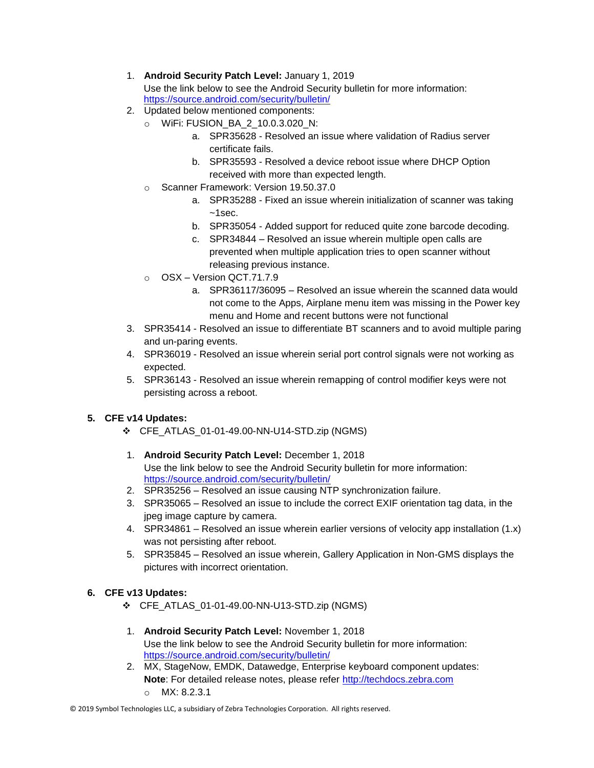#### 1. **Android Security Patch Level:** January 1, 2019 Use the link below to see the Android Security bulletin for more information: <https://source.android.com/security/bulletin/>

- 2. Updated below mentioned components:
	- o WiFi: FUSION\_BA\_2\_10.0.3.020\_N:
		- a. SPR35628 Resolved an issue where validation of Radius server certificate fails.
		- b. SPR35593 Resolved a device reboot issue where DHCP Option received with more than expected length.
	- o Scanner Framework: Version 19.50.37.0
		- a. SPR35288 Fixed an issue wherein initialization of scanner was taking  $~1$ sec.
		- b. SPR35054 Added support for reduced quite zone barcode decoding.
		- c. SPR34844 Resolved an issue wherein multiple open calls are prevented when multiple application tries to open scanner without releasing previous instance.
	- o OSX Version QCT.71.7.9
		- a. SPR36117/36095 Resolved an issue wherein the scanned data would not come to the Apps, Airplane menu item was missing in the Power key menu and Home and recent buttons were not functional
- 3. SPR35414 Resolved an issue to differentiate BT scanners and to avoid multiple paring and un-paring events.
- 4. SPR36019 Resolved an issue wherein serial port control signals were not working as expected.
- 5. SPR36143 Resolved an issue wherein remapping of control modifier keys were not persisting across a reboot.

### **5. CFE v14 Updates:**

- ❖ CFE\_ATLAS\_01-01-49.00-NN-U14-STD.zip (NGMS)
- 1. **Android Security Patch Level:** December 1, 2018 Use the link below to see the Android Security bulletin for more information: <https://source.android.com/security/bulletin/>
- 2. SPR35256 Resolved an issue causing NTP synchronization failure.
- 3. SPR35065 Resolved an issue to include the correct EXIF orientation tag data, in the jpeg image capture by camera.
- 4. SPR34861 Resolved an issue wherein earlier versions of velocity app installation (1.x) was not persisting after reboot.
- 5. SPR35845 Resolved an issue wherein, Gallery Application in Non-GMS displays the pictures with incorrect orientation.

### **6. CFE v13 Updates:**

- ❖ CFE\_ATLAS\_01-01-49.00-NN-U13-STD.zip (NGMS)
- 1. **Android Security Patch Level:** November 1, 2018 Use the link below to see the Android Security bulletin for more information: <https://source.android.com/security/bulletin/>
- 2. MX, StageNow, EMDK, Datawedge, Enterprise keyboard component updates: **Note**: For detailed release notes, please refer [http://techdocs.zebra.com](http://techdocs.zebra.com/) o MX: 8.2.3.1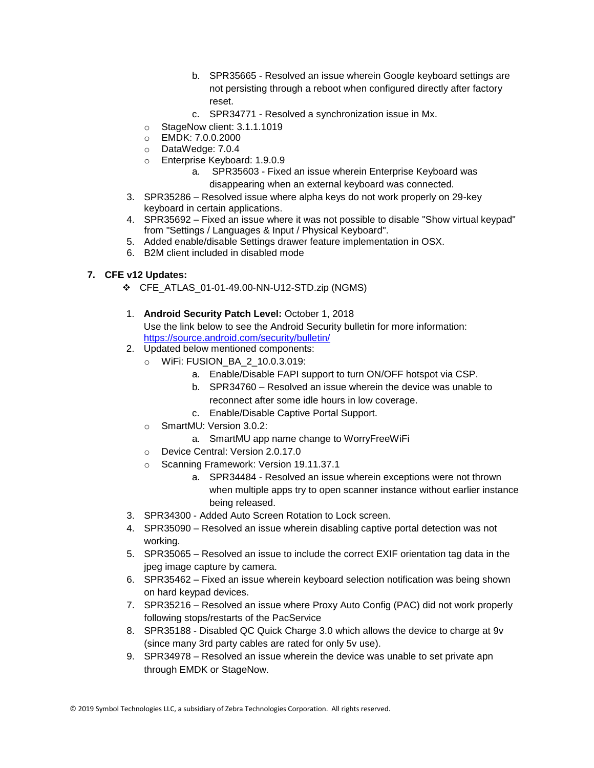- b. SPR35665 Resolved an issue wherein Google keyboard settings are not persisting through a reboot when configured directly after factory reset.
- c. SPR34771 Resolved a synchronization issue in Mx.
- o StageNow client: 3.1.1.1019
- o EMDK: 7.0.0.2000
- o DataWedge: 7.0.4
- o Enterprise Keyboard: 1.9.0.9
	- a. SPR35603 Fixed an issue wherein Enterprise Keyboard was disappearing when an external keyboard was connected.
- 3. SPR35286 Resolved issue where alpha keys do not work properly on 29-key keyboard in certain applications.
- 4. SPR35692 Fixed an issue where it was not possible to disable "Show virtual keypad" from "Settings / Languages & Input / Physical Keyboard".
- 5. Added enable/disable Settings drawer feature implementation in OSX.
- 6. B2M client included in disabled mode

### **7. CFE v12 Updates:**

- ❖ CFE\_ATLAS\_01-01-49.00-NN-U12-STD.zip (NGMS)
- 1. **Android Security Patch Level:** October 1, 2018 Use the link below to see the Android Security bulletin for more information: <https://source.android.com/security/bulletin/>
- 2. Updated below mentioned components:
	- o WiFi: FUSION\_BA\_2\_10.0.3.019:
		- a. Enable/Disable FAPI support to turn ON/OFF hotspot via CSP.
		- b. SPR34760 Resolved an issue wherein the device was unable to reconnect after some idle hours in low coverage.
		- c. Enable/Disable Captive Portal Support.
	- o SmartMU: Version 3.0.2:
		- a. SmartMU app name change to WorryFreeWiFi
	- o Device Central: Version 2.0.17.0
	- o Scanning Framework: Version 19.11.37.1
		- a. SPR34484 Resolved an issue wherein exceptions were not thrown when multiple apps try to open scanner instance without earlier instance being released.
- 3. SPR34300 Added Auto Screen Rotation to Lock screen.
- 4. SPR35090 Resolved an issue wherein disabling captive portal detection was not working.
- 5. SPR35065 Resolved an issue to include the correct EXIF orientation tag data in the jpeg image capture by camera.
- 6. SPR35462 Fixed an issue wherein keyboard selection notification was being shown on hard keypad devices.
- 7. SPR35216 Resolved an issue where Proxy Auto Config (PAC) did not work properly following stops/restarts of the PacService
- 8. SPR35188 Disabled QC Quick Charge 3.0 which allows the device to charge at 9v (since many 3rd party cables are rated for only 5v use).
- 9. SPR34978 Resolved an issue wherein the device was unable to set private apn through EMDK or StageNow.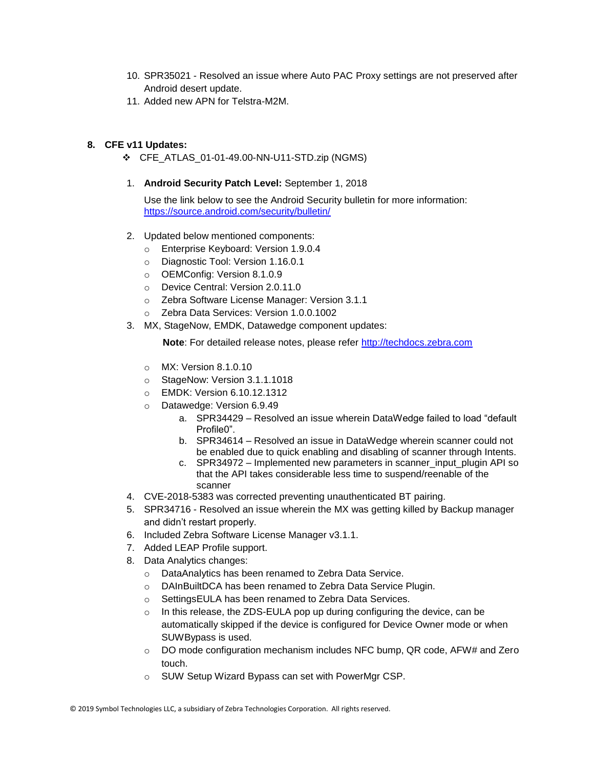- 10. SPR35021 Resolved an issue where Auto PAC Proxy settings are not preserved after Android desert update.
- 11. Added new APN for Telstra-M2M.

#### **8. CFE v11 Updates:**

- ❖ CFE\_ATLAS\_01-01-49.00-NN-U11-STD.zip (NGMS)
- 1. **Android Security Patch Level:** September 1, 2018

Use the link below to see the Android Security bulletin for more information: <https://source.android.com/security/bulletin/>

- 2. Updated below mentioned components:
	- o Enterprise Keyboard: Version 1.9.0.4
	- o Diagnostic Tool: Version 1.16.0.1
	- o OEMConfig: Version 8.1.0.9
	- o Device Central: Version 2.0.11.0
	- o Zebra Software License Manager: Version 3.1.1
	- o Zebra Data Services: Version 1.0.0.1002
- 3. MX, StageNow, EMDK, Datawedge component updates:

**Note:** For detailed release notes, please refer [http://techdocs.zebra.com](http://techdocs.zebra.com/)

- o MX: Version 8.1.0.10
- o StageNow: Version 3.1.1.1018
- o EMDK: Version 6.10.12.1312
- o Datawedge: Version 6.9.49
	- a. SPR34429 Resolved an issue wherein DataWedge failed to load "default Profile<sup>0"</sup>
	- b. SPR34614 Resolved an issue in DataWedge wherein scanner could not be enabled due to quick enabling and disabling of scanner through Intents.
	- c. SPR34972 Implemented new parameters in scanner input plugin API so that the API takes considerable less time to suspend/reenable of the scanner
- 4. CVE-2018-5383 was corrected preventing unauthenticated BT pairing.
- 5. SPR34716 Resolved an issue wherein the MX was getting killed by Backup manager and didn't restart properly.
- 6. Included Zebra Software License Manager v3.1.1.
- 7. Added LEAP Profile support.
- 8. Data Analytics changes:
	- o DataAnalytics has been renamed to Zebra Data Service.
	- o DAInBuiltDCA has been renamed to Zebra Data Service Plugin.
	- o SettingsEULA has been renamed to Zebra Data Services.
	- $\circ$  In this release, the ZDS-EULA pop up during configuring the device, can be automatically skipped if the device is configured for Device Owner mode or when SUWBypass is used.
	- o DO mode configuration mechanism includes NFC bump, QR code, AFW# and Zero touch.
	- o SUW Setup Wizard Bypass can set with PowerMgr CSP.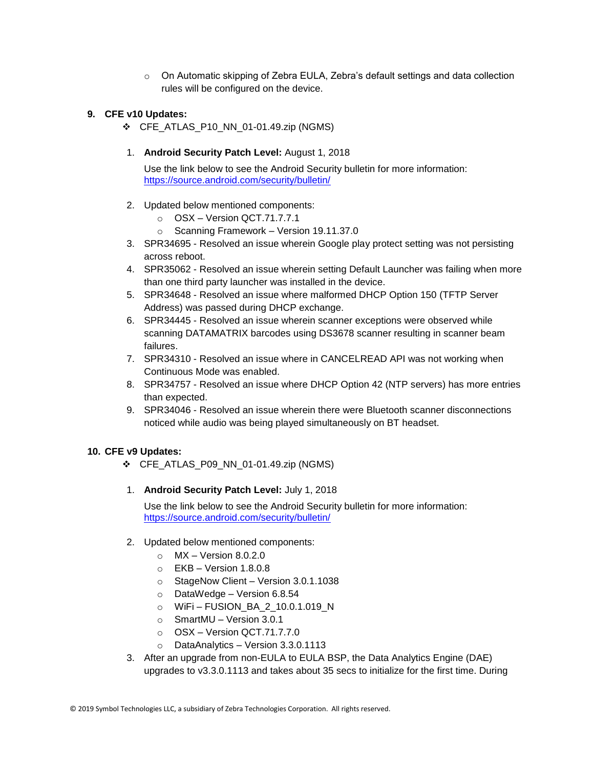o On Automatic skipping of Zebra EULA, Zebra's default settings and data collection rules will be configured on the device.

#### **9. CFE v10 Updates:**

❖ CFE\_ATLAS\_P10\_NN\_01-01.49.zip (NGMS)

#### 1. **Android Security Patch Level:** August 1, 2018

Use the link below to see the Android Security bulletin for more information: <https://source.android.com/security/bulletin/>

- 2. Updated below mentioned components:
	- o OSX Version QCT.71.7.7.1
	- o Scanning Framework Version 19.11.37.0
- 3. SPR34695 Resolved an issue wherein Google play protect setting was not persisting across reboot.
- 4. SPR35062 Resolved an issue wherein setting Default Launcher was failing when more than one third party launcher was installed in the device.
- 5. SPR34648 Resolved an issue where malformed DHCP Option 150 (TFTP Server Address) was passed during DHCP exchange.
- 6. SPR34445 Resolved an issue wherein scanner exceptions were observed while scanning DATAMATRIX barcodes using DS3678 scanner resulting in scanner beam failures.
- 7. SPR34310 Resolved an issue where in CANCELREAD API was not working when Continuous Mode was enabled.
- 8. SPR34757 Resolved an issue where DHCP Option 42 (NTP servers) has more entries than expected.
- 9. SPR34046 Resolved an issue wherein there were Bluetooth scanner disconnections noticed while audio was being played simultaneously on BT headset.

#### **10. CFE v9 Updates:**

- ❖ CFE\_ATLAS\_P09\_NN\_01-01.49.zip (NGMS)
- 1. **Android Security Patch Level:** July 1, 2018

Use the link below to see the Android Security bulletin for more information: <https://source.android.com/security/bulletin/>

- 2. Updated below mentioned components:
	- $\circ$  MX Version 8.0.2.0
	- $\circ$  EKB Version 1.8.0.8
	- o StageNow Client Version 3.0.1.1038
	- o DataWedge Version 6.8.54
	- o WiFi FUSION\_BA\_2\_10.0.1.019\_N
	- o SmartMU Version 3.0.1
	- $\circ$  OSX Version QCT.71.7.7.0
	- o DataAnalytics Version 3.3.0.1113
- 3. After an upgrade from non-EULA to EULA BSP, the Data Analytics Engine (DAE) upgrades to v3.3.0.1113 and takes about 35 secs to initialize for the first time. During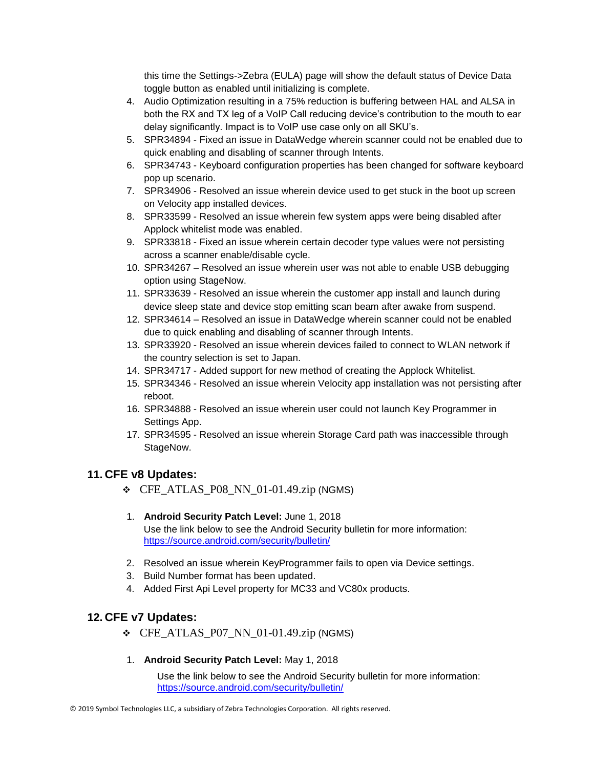this time the Settings->Zebra (EULA) page will show the default status of Device Data toggle button as enabled until initializing is complete.

- 4. Audio Optimization resulting in a 75% reduction is buffering between HAL and ALSA in both the RX and TX leg of a VoIP Call reducing device's contribution to the mouth to ear delay significantly. Impact is to VoIP use case only on all SKU's.
- 5. SPR34894 Fixed an issue in DataWedge wherein scanner could not be enabled due to quick enabling and disabling of scanner through Intents.
- 6. SPR34743 Keyboard configuration properties has been changed for software keyboard pop up scenario.
- 7. SPR34906 Resolved an issue wherein device used to get stuck in the boot up screen on Velocity app installed devices.
- 8. SPR33599 Resolved an issue wherein few system apps were being disabled after Applock whitelist mode was enabled.
- 9. SPR33818 Fixed an issue wherein certain decoder type values were not persisting across a scanner enable/disable cycle.
- 10. SPR34267 Resolved an issue wherein user was not able to enable USB debugging option using StageNow.
- 11. SPR33639 Resolved an issue wherein the customer app install and launch during device sleep state and device stop emitting scan beam after awake from suspend.
- 12. SPR34614 Resolved an issue in DataWedge wherein scanner could not be enabled due to quick enabling and disabling of scanner through Intents.
- 13. SPR33920 Resolved an issue wherein devices failed to connect to WLAN network if the country selection is set to Japan.
- 14. SPR34717 Added support for new method of creating the Applock Whitelist.
- 15. SPR34346 Resolved an issue wherein Velocity app installation was not persisting after reboot.
- 16. SPR34888 Resolved an issue wherein user could not launch Key Programmer in Settings App.
- 17. SPR34595 Resolved an issue wherein Storage Card path was inaccessible through StageNow.

### **11. CFE v8 Updates:**

- $\div$  CFE\_ATLAS\_P08\_NN\_01-01.49.zip (NGMS)
- 1. **Android Security Patch Level:** June 1, 2018 Use the link below to see the Android Security bulletin for more information: <https://source.android.com/security/bulletin/>
- 2. Resolved an issue wherein KeyProgrammer fails to open via Device settings.
- 3. Build Number format has been updated.
- 4. Added First Api Level property for MC33 and VC80x products.

### **12. CFE v7 Updates:**

- $\div$  CFE\_ATLAS\_P07\_NN\_01-01.49.zip (NGMS)
- 1. **Android Security Patch Level:** May 1, 2018

Use the link below to see the Android Security bulletin for more information: <https://source.android.com/security/bulletin/>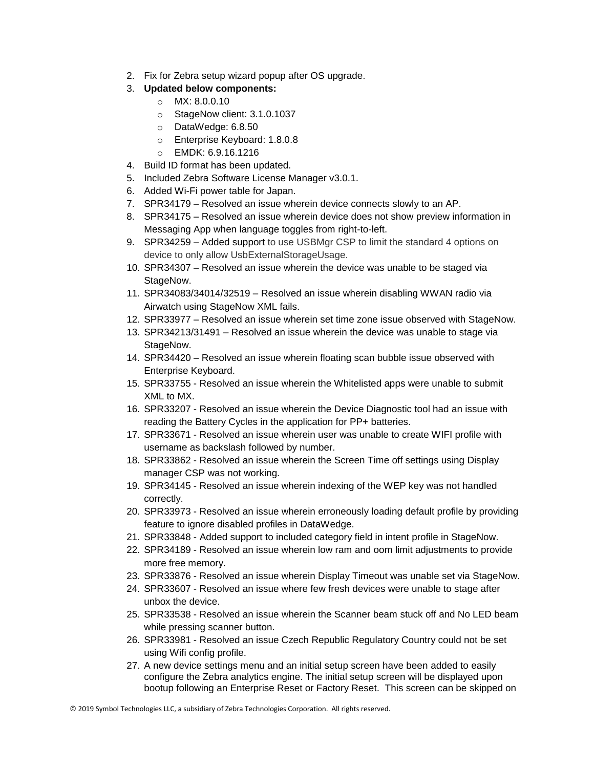- 2. Fix for Zebra setup wizard popup after OS upgrade.
- 3. **Updated below components:**
	- o MX: 8.0.0.10
	- o StageNow client: 3.1.0.1037
	- o DataWedge: 6.8.50
	- o Enterprise Keyboard: 1.8.0.8
	- o EMDK: 6.9.16.1216
- 4. Build ID format has been updated.
- 5. Included Zebra Software License Manager v3.0.1.
- 6. Added Wi-Fi power table for Japan.
- 7. SPR34179 Resolved an issue wherein device connects slowly to an AP.
- 8. SPR34175 Resolved an issue wherein device does not show preview information in Messaging App when language toggles from right-to-left.
- 9. SPR34259 Added support to use USBMgr CSP to limit the standard 4 options on device to only allow UsbExternalStorageUsage.
- 10. SPR34307 Resolved an issue wherein the device was unable to be staged via StageNow.
- 11. SPR34083/34014/32519 Resolved an issue wherein disabling WWAN radio via Airwatch using StageNow XML fails.
- 12. SPR33977 Resolved an issue wherein set time zone issue observed with StageNow.
- 13. SPR34213/31491 Resolved an issue wherein the device was unable to stage via StageNow.
- 14. SPR34420 Resolved an issue wherein floating scan bubble issue observed with Enterprise Keyboard.
- 15. SPR33755 Resolved an issue wherein the Whitelisted apps were unable to submit XML to MX.
- 16. SPR33207 Resolved an issue wherein the Device Diagnostic tool had an issue with reading the Battery Cycles in the application for PP+ batteries.
- 17. SPR33671 Resolved an issue wherein user was unable to create WIFI profile with username as backslash followed by number.
- 18. SPR33862 Resolved an issue wherein the Screen Time off settings using Display manager CSP was not working.
- 19. SPR34145 Resolved an issue wherein indexing of the WEP key was not handled correctly.
- 20. SPR33973 Resolved an issue wherein erroneously loading default profile by providing feature to ignore disabled profiles in DataWedge.
- 21. SPR33848 Added support to included category field in intent profile in StageNow.
- 22. SPR34189 Resolved an issue wherein low ram and oom limit adjustments to provide more free memory.
- 23. SPR33876 Resolved an issue wherein Display Timeout was unable set via StageNow.
- 24. SPR33607 Resolved an issue where few fresh devices were unable to stage after unbox the device.
- 25. SPR33538 Resolved an issue wherein the Scanner beam stuck off and No LED beam while pressing scanner button.
- 26. SPR33981 Resolved an issue Czech Republic Regulatory Country could not be set using Wifi config profile.
- 27. A new device settings menu and an initial setup screen have been added to easily configure the Zebra analytics engine. The initial setup screen will be displayed upon bootup following an Enterprise Reset or Factory Reset. This screen can be skipped on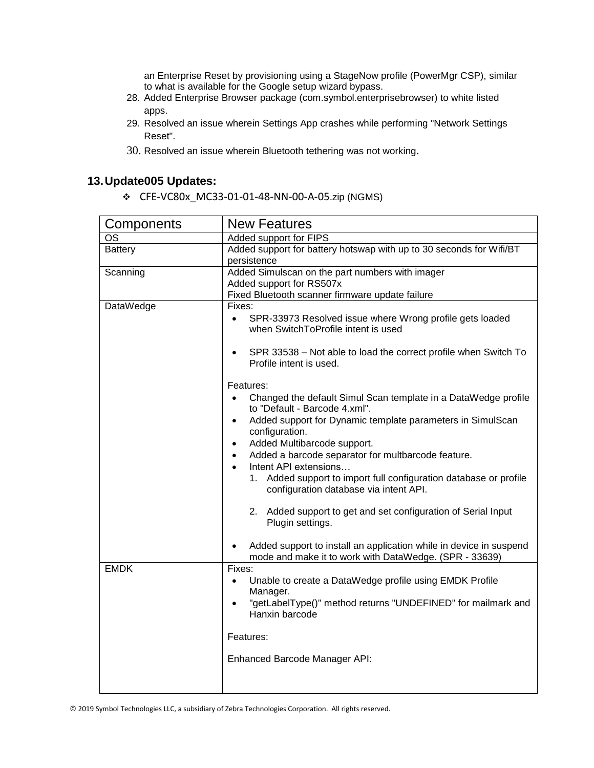an Enterprise Reset by provisioning using a StageNow profile (PowerMgr CSP), similar to what is available for the Google setup wizard bypass.

- 28. Added Enterprise Browser package (com.symbol.enterprisebrowser) to white listed apps.
- 29. Resolved an issue wherein Settings App crashes while performing "Network Settings Reset".
- 30. Resolved an issue wherein Bluetooth tethering was not working.

# **13.Update005 Updates:**

❖ CFE-VC80x\_MC33-01-01-48-NN-00-A-05.zip (NGMS)

| Components     | <b>New Features</b>                                                                                                                                                                                                                                                                                                                                                                                                                                                                                                                                                                                                            |  |  |
|----------------|--------------------------------------------------------------------------------------------------------------------------------------------------------------------------------------------------------------------------------------------------------------------------------------------------------------------------------------------------------------------------------------------------------------------------------------------------------------------------------------------------------------------------------------------------------------------------------------------------------------------------------|--|--|
| OS             | Added support for FIPS                                                                                                                                                                                                                                                                                                                                                                                                                                                                                                                                                                                                         |  |  |
| <b>Battery</b> | Added support for battery hotswap with up to 30 seconds for Wifi/BT<br>persistence                                                                                                                                                                                                                                                                                                                                                                                                                                                                                                                                             |  |  |
| Scanning       | Added Simulscan on the part numbers with imager<br>Added support for RS507x<br>Fixed Bluetooth scanner firmware update failure                                                                                                                                                                                                                                                                                                                                                                                                                                                                                                 |  |  |
| DataWedge      | Fixes:<br>SPR-33973 Resolved issue where Wrong profile gets loaded<br>$\bullet$<br>when SwitchToProfile intent is used<br>SPR 33538 - Not able to load the correct profile when Switch To<br>Profile intent is used.<br>Features:                                                                                                                                                                                                                                                                                                                                                                                              |  |  |
|                | Changed the default Simul Scan template in a DataWedge profile<br>$\bullet$<br>to "Default - Barcode 4.xml".<br>Added support for Dynamic template parameters in SimulScan<br>$\bullet$<br>configuration.<br>Added Multibarcode support.<br>$\bullet$<br>Added a barcode separator for multbarcode feature.<br>$\bullet$<br>Intent API extensions<br>Added support to import full configuration database or profile<br>1.<br>configuration database via intent API.<br>2. Added support to get and set configuration of Serial Input<br>Plugin settings.<br>Added support to install an application while in device in suspend |  |  |
| <b>EMDK</b>    | mode and make it to work with DataWedge. (SPR - 33639)<br>Fixes:<br>Unable to create a DataWedge profile using EMDK Profile<br>$\bullet$<br>Manager.<br>"getLabelType()" method returns "UNDEFINED" for mailmark and<br>Hanxin barcode<br>Features:<br>Enhanced Barcode Manager API:                                                                                                                                                                                                                                                                                                                                           |  |  |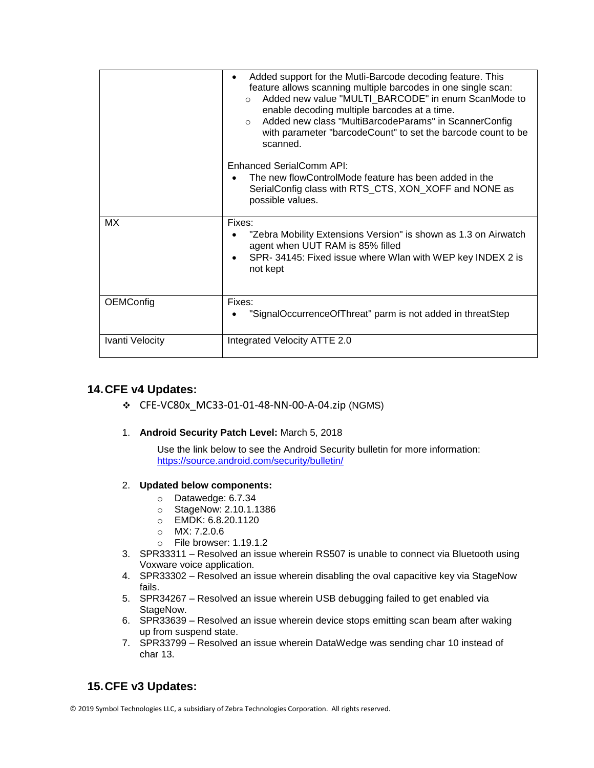|                 | Added support for the Mutli-Barcode decoding feature. This<br>feature allows scanning multiple barcodes in one single scan:<br>Added new value "MULTI_BARCODE" in enum ScanMode to<br>$\cap$<br>enable decoding multiple barcodes at a time.<br>Added new class "MultiBarcodeParams" in ScannerConfig<br>$\circ$<br>with parameter "barcodeCount" to set the barcode count to be<br>scanned.<br>Enhanced SerialComm API: |
|-----------------|--------------------------------------------------------------------------------------------------------------------------------------------------------------------------------------------------------------------------------------------------------------------------------------------------------------------------------------------------------------------------------------------------------------------------|
|                 | The new flowControlMode feature has been added in the<br>SerialConfig class with RTS_CTS, XON_XOFF and NONE as<br>possible values.                                                                                                                                                                                                                                                                                       |
| МX              | Fixes:<br>"Zebra Mobility Extensions Version" is shown as 1.3 on Airwatch<br>agent when UUT RAM is 85% filled<br>SPR-34145: Fixed issue where Wlan with WEP key INDEX 2 is<br>not kept                                                                                                                                                                                                                                   |
| OEMConfig       | Fixes:<br>"SignalOccurrenceOfThreat" parm is not added in threatStep                                                                                                                                                                                                                                                                                                                                                     |
| Ivanti Velocity | Integrated Velocity ATTE 2.0                                                                                                                                                                                                                                                                                                                                                                                             |

### **14.CFE v4 Updates:**

❖ CFE-VC80x\_MC33-01-01-48-NN-00-A-04.zip (NGMS)

### 1. **Android Security Patch Level:** March 5, 2018

Use the link below to see the Android Security bulletin for more information: <https://source.android.com/security/bulletin/>

#### 2. **Updated below components:**

- o Datawedge: 6.7.34
- o StageNow: 2.10.1.1386
- o EMDK: 6.8.20.1120
- o MX: 7.2.0.6
- o File browser: 1.19.1.2
- 3. SPR33311 Resolved an issue wherein RS507 is unable to connect via Bluetooth using Voxware voice application.
- 4. SPR33302 Resolved an issue wherein disabling the oval capacitive key via StageNow fails.
- 5. SPR34267 Resolved an issue wherein USB debugging failed to get enabled via StageNow.
- 6. SPR33639 Resolved an issue wherein device stops emitting scan beam after waking up from suspend state.
- 7. SPR33799 Resolved an issue wherein DataWedge was sending char 10 instead of char 13.

# **15.CFE v3 Updates:**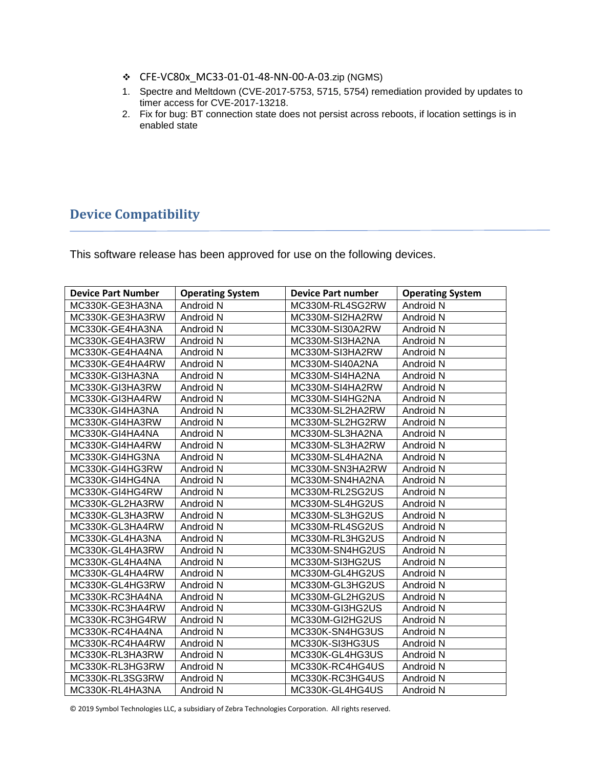- ❖ CFE-VC80x\_MC33-01-01-48-NN-00-A-03.zip (NGMS)
- 1. Spectre and Meltdown (CVE-2017-5753, 5715, 5754) remediation provided by updates to timer access for CVE-2017-13218.
- 2. Fix for bug: BT connection state does not persist across reboots, if location settings is in enabled state

# <span id="page-14-0"></span>**Device Compatibility**

This software release has been approved for use on the following devices.

| <b>Device Part Number</b> | <b>Operating System</b> | <b>Device Part number</b> | <b>Operating System</b> |
|---------------------------|-------------------------|---------------------------|-------------------------|
| MC330K-GE3HA3NA           | Android N               | MC330M-RL4SG2RW           | Android N               |
| MC330K-GE3HA3RW           | Android N               | MC330M-SI2HA2RW           | Android N               |
| MC330K-GE4HA3NA           | Android N               | MC330M-SI30A2RW           | Android N               |
| MC330K-GE4HA3RW           | Android N               | MC330M-SI3HA2NA           | Android N               |
| MC330K-GE4HA4NA           | Android N               | MC330M-SI3HA2RW           | Android N               |
| MC330K-GE4HA4RW           | Android N               | MC330M-SI40A2NA           | Android N               |
| MC330K-GI3HA3NA           | Android N               | MC330M-SI4HA2NA           | Android N               |
| MC330K-GI3HA3RW           | Android N               | MC330M-SI4HA2RW           | Android N               |
| MC330K-GI3HA4RW           | Android N               | MC330M-SI4HG2NA           | Android N               |
| MC330K-GI4HA3NA           | Android N               | MC330M-SL2HA2RW           | Android N               |
| MC330K-GI4HA3RW           | Android N               | MC330M-SL2HG2RW           | Android N               |
| MC330K-GI4HA4NA           | Android N               | MC330M-SL3HA2NA           | Android N               |
| MC330K-GI4HA4RW           | Android N               | MC330M-SL3HA2RW           | Android N               |
| MC330K-GI4HG3NA           | Android N               | MC330M-SL4HA2NA           | Android N               |
| MC330K-GI4HG3RW           | Android N               | MC330M-SN3HA2RW           | Android N               |
| MC330K-GI4HG4NA           | Android N               | MC330M-SN4HA2NA           | Android N               |
| MC330K-GI4HG4RW           | Android N               | MC330M-RL2SG2US           | Android N               |
| MC330K-GL2HA3RW           | Android N               | MC330M-SL4HG2US           | Android N               |
| MC330K-GL3HA3RW           | Android N               | MC330M-SL3HG2US           | Android N               |
| MC330K-GL3HA4RW           | Android N               | MC330M-RL4SG2US           | Android N               |
| MC330K-GL4HA3NA           | Android N               | MC330M-RL3HG2US           | Android N               |
| MC330K-GL4HA3RW           | Android N               | MC330M-SN4HG2US           | Android N               |
| MC330K-GL4HA4NA           | Android N               | MC330M-SI3HG2US           | Android N               |
| MC330K-GL4HA4RW           | Android N               | MC330M-GL4HG2US           | Android N               |
| MC330K-GL4HG3RW           | Android N               | MC330M-GL3HG2US           | Android N               |
| MC330K-RC3HA4NA           | Android N               | MC330M-GL2HG2US           | Android N               |
| MC330K-RC3HA4RW           | Android N               | MC330M-GI3HG2US           | Android N               |
| MC330K-RC3HG4RW           | Android N               | MC330M-GI2HG2US           | Android N               |
| MC330K-RC4HA4NA           | Android N               | MC330K-SN4HG3US           | Android N               |
| MC330K-RC4HA4RW           | Android N               | MC330K-SI3HG3US           | Android N               |
| MC330K-RL3HA3RW           | Android N               | MC330K-GL4HG3US           | Android N               |
| MC330K-RL3HG3RW           | Android N               | MC330K-RC4HG4US           | Android N               |
| MC330K-RL3SG3RW           | Android N               | MC330K-RC3HG4US           | Android N               |
| MC330K-RL4HA3NA           | Android N               | MC330K-GL4HG4US           | Android N               |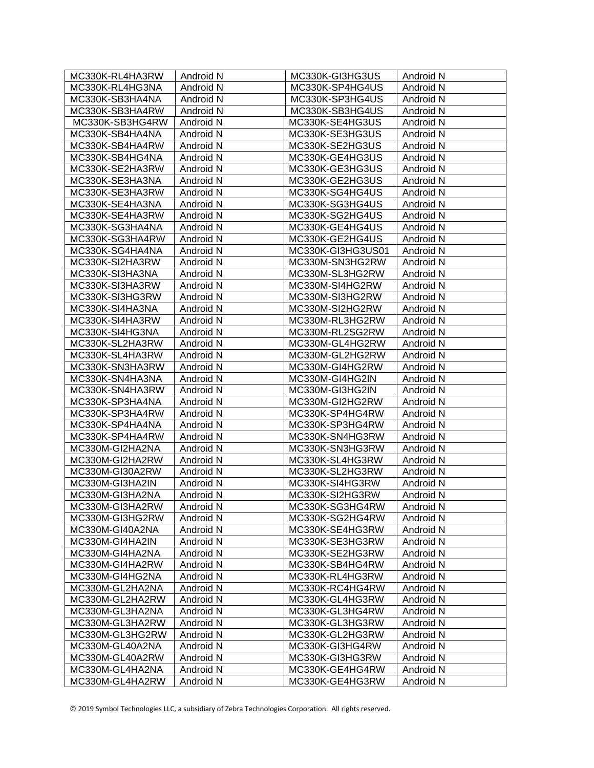| MC330K-RL4HA3RW | Android N | MC330K-GI3HG3US   | Android N |
|-----------------|-----------|-------------------|-----------|
| MC330K-RL4HG3NA | Android N | MC330K-SP4HG4US   | Android N |
| MC330K-SB3HA4NA | Android N | MC330K-SP3HG4US   | Android N |
| MC330K-SB3HA4RW | Android N | MC330K-SB3HG4US   | Android N |
| MC330K-SB3HG4RW | Android N | MC330K-SE4HG3US   | Android N |
| MC330K-SB4HA4NA | Android N | MC330K-SE3HG3US   | Android N |
| MC330K-SB4HA4RW | Android N | MC330K-SE2HG3US   | Android N |
| MC330K-SB4HG4NA | Android N | MC330K-GE4HG3US   | Android N |
| MC330K-SE2HA3RW | Android N | MC330K-GE3HG3US   | Android N |
| MC330K-SE3HA3NA | Android N | MC330K-GE2HG3US   | Android N |
| MC330K-SE3HA3RW | Android N | MC330K-SG4HG4US   | Android N |
| MC330K-SE4HA3NA | Android N | MC330K-SG3HG4US   | Android N |
| MC330K-SE4HA3RW | Android N | MC330K-SG2HG4US   | Android N |
| MC330K-SG3HA4NA | Android N | MC330K-GE4HG4US   | Android N |
| MC330K-SG3HA4RW | Android N | MC330K-GE2HG4US   | Android N |
| MC330K-SG4HA4NA | Android N | MC330K-GI3HG3US01 | Android N |
| MC330K-SI2HA3RW | Android N | MC330M-SN3HG2RW   | Android N |
| MC330K-SI3HA3NA | Android N | MC330M-SL3HG2RW   | Android N |
| MC330K-SI3HA3RW | Android N | MC330M-SI4HG2RW   | Android N |
| MC330K-SI3HG3RW | Android N | MC330M-SI3HG2RW   | Android N |
| MC330K-SI4HA3NA | Android N | MC330M-SI2HG2RW   | Android N |
| MC330K-SI4HA3RW | Android N | MC330M-RL3HG2RW   | Android N |
| MC330K-SI4HG3NA | Android N | MC330M-RL2SG2RW   | Android N |
| MC330K-SL2HA3RW | Android N | MC330M-GL4HG2RW   | Android N |
| MC330K-SL4HA3RW | Android N | MC330M-GL2HG2RW   | Android N |
| MC330K-SN3HA3RW | Android N | MC330M-GI4HG2RW   | Android N |
| MC330K-SN4HA3NA | Android N | MC330M-GI4HG2IN   | Android N |
| MC330K-SN4HA3RW | Android N | MC330M-GI3HG2IN   | Android N |
| MC330K-SP3HA4NA | Android N | MC330M-GI2HG2RW   | Android N |
| MC330K-SP3HA4RW | Android N | MC330K-SP4HG4RW   | Android N |
| MC330K-SP4HA4NA | Android N | MC330K-SP3HG4RW   | Android N |
| MC330K-SP4HA4RW | Android N | MC330K-SN4HG3RW   | Android N |
| MC330M-GI2HA2NA | Android N | MC330K-SN3HG3RW   | Android N |
| MC330M-GI2HA2RW | Android N | MC330K-SL4HG3RW   | Android N |
| MC330M-GI30A2RW | Android N | MC330K-SL2HG3RW   | Android N |
| MC330M-GI3HA2IN | Android N | MC330K-SI4HG3RW   | Android N |
| MC330M-GI3HA2NA | Android N | MC330K-SI2HG3RW   | Android N |
| MC330M-GI3HA2RW | Android N | MC330K-SG3HG4RW   | Android N |
| MC330M-GI3HG2RW | Android N | MC330K-SG2HG4RW   | Android N |
| MC330M-GI40A2NA | Android N | MC330K-SE4HG3RW   | Android N |
| MC330M-GI4HA2IN | Android N | MC330K-SE3HG3RW   | Android N |
| MC330M-GI4HA2NA | Android N | MC330K-SE2HG3RW   | Android N |
| MC330M-GI4HA2RW | Android N | MC330K-SB4HG4RW   | Android N |
| MC330M-GI4HG2NA | Android N | MC330K-RL4HG3RW   | Android N |
| MC330M-GL2HA2NA | Android N | MC330K-RC4HG4RW   | Android N |
| MC330M-GL2HA2RW | Android N | MC330K-GL4HG3RW   | Android N |
| MC330M-GL3HA2NA | Android N | MC330K-GL3HG4RW   | Android N |
| MC330M-GL3HA2RW | Android N | MC330K-GL3HG3RW   | Android N |
| MC330M-GL3HG2RW | Android N | MC330K-GL2HG3RW   | Android N |
| MC330M-GL40A2NA | Android N | MC330K-GI3HG4RW   | Android N |
| MC330M-GL40A2RW | Android N | MC330K-GI3HG3RW   | Android N |
| MC330M-GL4HA2NA | Android N | MC330K-GE4HG4RW   | Android N |
| MC330M-GL4HA2RW | Android N | MC330K-GE4HG3RW   | Android N |
|                 |           |                   |           |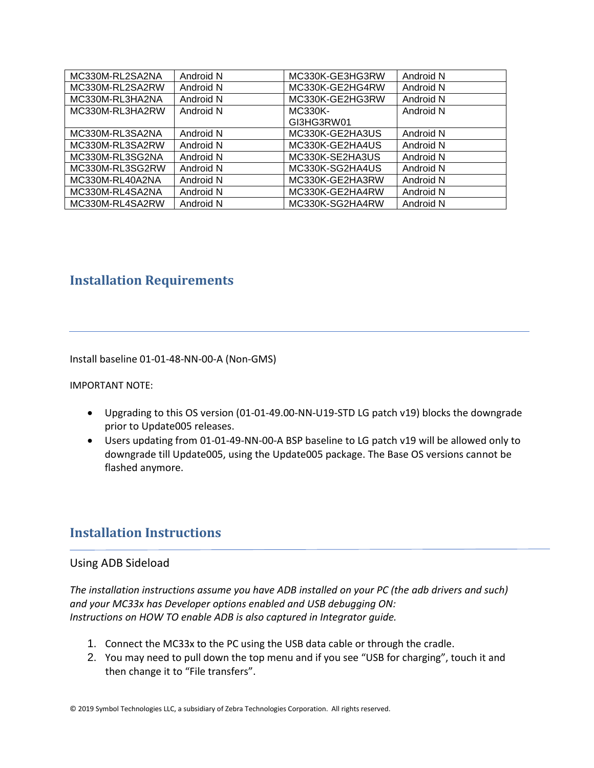| MC330M-RL2SA2NA | Android N | MC330K-GE3HG3RW | Android N |
|-----------------|-----------|-----------------|-----------|
| MC330M-RL2SA2RW | Android N | MC330K-GE2HG4RW | Android N |
| MC330M-RL3HA2NA | Android N | MC330K-GE2HG3RW | Android N |
| MC330M-RL3HA2RW | Android N | MC330K-         | Android N |
|                 |           | GI3HG3RW01      |           |
| MC330M-RL3SA2NA | Android N | MC330K-GE2HA3US | Android N |
| MC330M-RL3SA2RW | Android N | MC330K-GE2HA4US | Android N |
| MC330M-RL3SG2NA | Android N | MC330K-SE2HA3US | Android N |
| MC330M-RL3SG2RW | Android N | MC330K-SG2HA4US | Android N |
| MC330M-RL40A2NA | Android N | MC330K-GE2HA3RW | Android N |
| MC330M-RL4SA2NA | Android N | MC330K-GE2HA4RW | Android N |
| MC330M-RL4SA2RW | Android N | MC330K-SG2HA4RW | Android N |

# <span id="page-16-0"></span>**Installation Requirements**

Install baseline 01-01-48-NN-00-A (Non-GMS)

IMPORTANT NOTE:

- Upgrading to this OS version (01-01-49.00-NN-U19-STD LG patch v19) blocks the downgrade prior to Update005 releases.
- Users updating from 01-01-49-NN-00-A BSP baseline to LG patch v19 will be allowed only to downgrade till Update005, using the Update005 package. The Base OS versions cannot be flashed anymore.

# <span id="page-16-1"></span>**Installation Instructions**

### Using ADB Sideload

*The installation instructions assume you have ADB installed on your PC (the adb drivers and such) and your MC33x has Developer options enabled and USB debugging ON: Instructions on HOW TO enable ADB is also captured in Integrator guide.*

- 1. Connect the MC33x to the PC using the USB data cable or through the cradle.
- 2. You may need to pull down the top menu and if you see "USB for charging", touch it and then change it to "File transfers".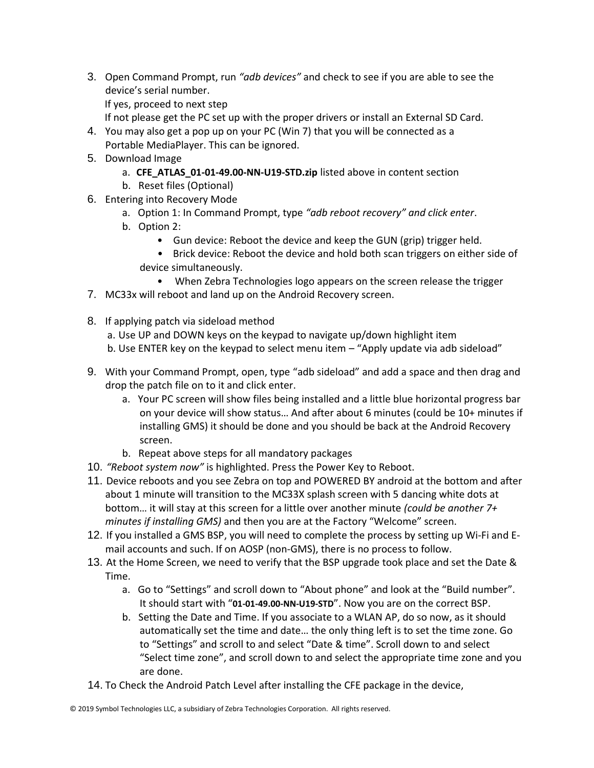- 3. Open Command Prompt, run *"adb devices"* and check to see if you are able to see the device's serial number. If yes, proceed to next step
	- If not please get the PC set up with the proper drivers or install an External SD Card.
- 4. You may also get a pop up on your PC (Win 7) that you will be connected as a Portable MediaPlayer. This can be ignored.
- 5. Download Image
	- a. **CFE\_ATLAS\_01-01-49.00-NN-U19-STD.zip** listed above in content section
	- b. Reset files (Optional)
- 6. Entering into Recovery Mode
	- a. Option 1: In Command Prompt, type *"adb reboot recovery" and click enter*.
	- b. Option 2:
		- Gun device: Reboot the device and keep the GUN (grip) trigger held.
		- Brick device: Reboot the device and hold both scan triggers on either side of device simultaneously.
			- When Zebra Technologies logo appears on the screen release the trigger
- 7. MC33x will reboot and land up on the Android Recovery screen.
- 8. If applying patch via sideload method
	- a. Use UP and DOWN keys on the keypad to navigate up/down highlight item
	- b. Use ENTER key on the keypad to select menu item "Apply update via adb sideload"
- 9. With your Command Prompt, open, type "adb sideload" and add a space and then drag and drop the patch file on to it and click enter.
	- a. Your PC screen will show files being installed and a little blue horizontal progress bar on your device will show status… And after about 6 minutes (could be 10+ minutes if installing GMS) it should be done and you should be back at the Android Recovery screen.
	- b. Repeat above steps for all mandatory packages
- 10. *"Reboot system now"* is highlighted. Press the Power Key to Reboot.
- 11. Device reboots and you see Zebra on top and POWERED BY android at the bottom and after about 1 minute will transition to the MC33X splash screen with 5 dancing white dots at bottom… it will stay at this screen for a little over another minute *(could be another 7+ minutes if installing GMS)* and then you are at the Factory "Welcome" screen.
- 12. If you installed a GMS BSP, you will need to complete the process by setting up Wi‐Fi and E‐ mail accounts and such. If on AOSP (non‐GMS), there is no process to follow.
- 13. At the Home Screen, we need to verify that the BSP upgrade took place and set the Date & Time.
	- a. Go to "Settings" and scroll down to "About phone" and look at the "Build number". It should start with "**01-01-49.00-NN-U19-STD**". Now you are on the correct BSP.
	- b. Setting the Date and Time. If you associate to a WLAN AP, do so now, as it should automatically set the time and date… the only thing left is to set the time zone. Go to "Settings" and scroll to and select "Date & time". Scroll down to and select "Select time zone", and scroll down to and select the appropriate time zone and you are done.
- 14. To Check the Android Patch Level after installing the CFE package in the device,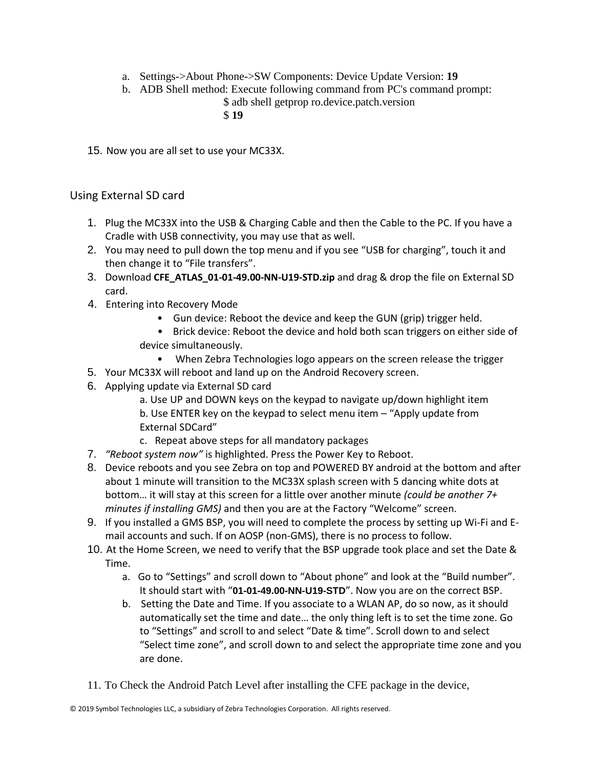- a. Settings->About Phone->SW Components: Device Update Version: **19**
- b. ADB Shell method: Execute following command from PC's command prompt: \$ adb shell getprop ro.device.patch.version
	- \$ **19**

15. Now you are all set to use your MC33X.

### Using External SD card

- 1. Plug the MC33X into the USB & Charging Cable and then the Cable to the PC. If you have a Cradle with USB connectivity, you may use that as well.
- 2. You may need to pull down the top menu and if you see "USB for charging", touch it and then change it to "File transfers".
- 3. Download **CFE\_ATLAS\_01-01-49.00-NN-U19-STD.zip** and drag & drop the file on External SD card.
- 4. Entering into Recovery Mode
	- Gun device: Reboot the device and keep the GUN (grip) trigger held.
	- Brick device: Reboot the device and hold both scan triggers on either side of device simultaneously.
		- When Zebra Technologies logo appears on the screen release the trigger
- 5. Your MC33X will reboot and land up on the Android Recovery screen.
- 6. Applying update via External SD card
	- a. Use UP and DOWN keys on the keypad to navigate up/down highlight item
	- b. Use ENTER key on the keypad to select menu item "Apply update from External SDCard"
	- c. Repeat above steps for all mandatory packages
- 7. *"Reboot system now"* is highlighted. Press the Power Key to Reboot.
- 8. Device reboots and you see Zebra on top and POWERED BY android at the bottom and after about 1 minute will transition to the MC33X splash screen with 5 dancing white dots at bottom… it will stay at this screen for a little over another minute *(could be another 7+ minutes if installing GMS)* and then you are at the Factory "Welcome" screen.
- 9. If you installed a GMS BSP, you will need to complete the process by setting up Wi‐Fi and E‐ mail accounts and such. If on AOSP (non‐GMS), there is no process to follow.
- 10. At the Home Screen, we need to verify that the BSP upgrade took place and set the Date & Time.
	- a. Go to "Settings" and scroll down to "About phone" and look at the "Build number". It should start with "**01-01-49.00-NN-U19-STD**". Now you are on the correct BSP.
	- b. Setting the Date and Time. If you associate to a WLAN AP, do so now, as it should automatically set the time and date… the only thing left is to set the time zone. Go to "Settings" and scroll to and select "Date & time". Scroll down to and select "Select time zone", and scroll down to and select the appropriate time zone and you are done.
- 11. To Check the Android Patch Level after installing the CFE package in the device,